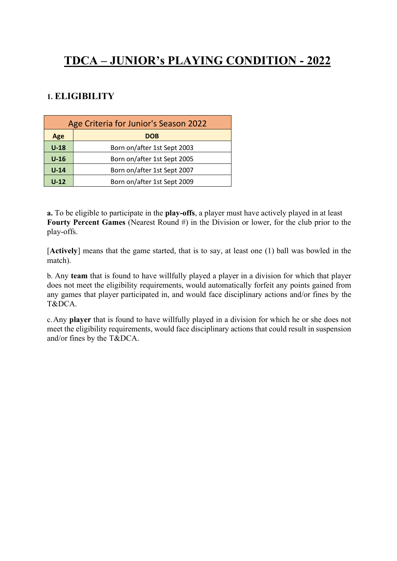# **TDCA – JUNIOR's PLAYING CONDITION - 2022**

### **1. ELIGIBILITY**

| Age Criteria for Junior's Season 2022 |                             |
|---------------------------------------|-----------------------------|
| Age                                   | <b>DOB</b>                  |
| $U-18$                                | Born on/after 1st Sept 2003 |
| $U-16$                                | Born on/after 1st Sept 2005 |
| $U-14$                                | Born on/after 1st Sept 2007 |
| $U-12$                                | Born on/after 1st Sept 2009 |

**a.** To be eligible to participate in the **play-offs**, a player must have actively played in at least **Fourty Percent Games** (Nearest Round #) in the Division or lower, for the club prior to the play-offs.

[**Actively**] means that the game started, that is to say, at least one (1) ball was bowled in the match).

b. Any **team** that is found to have willfully played a player in a division for which that player does not meet the eligibility requirements, would automatically forfeit any points gained from any games that player participated in, and would face disciplinary actions and/or fines by the T&DCA.

c.Any **player** that is found to have willfully played in a division for which he or she does not meet the eligibility requirements, would face disciplinary actions that could result in suspension and/or fines by the T&DCA.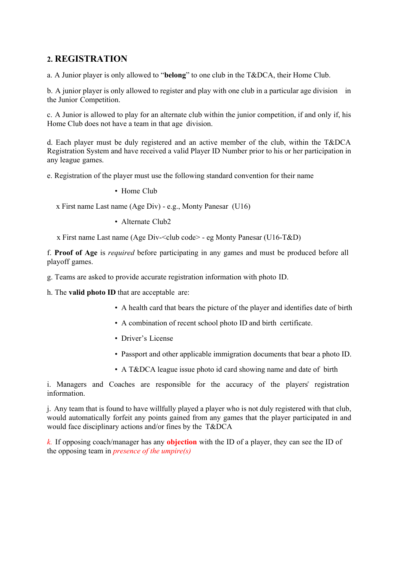#### **2. REGISTRATION**

a. A Junior player is only allowed to "**belong**" to one club in the T&DCA, their Home Club.

b. A junior player is only allowed to register and play with one club in a particular age division in the Junior Competition.

c. A Junior is allowed to play for an alternate club within the junior competition, if and only if, his Home Club does not have a team in that age division.

d. Each player must be duly registered and an active member of the club, within the T&DCA Registration System and have received a valid Player ID Number prior to his or her participation in any league games.

e. Registration of the player must use the following standard convention for their name

• Home Club

x First name Last name (Age Div) - e.g., Monty Panesar (U16)

• Alternate Club2

x First name Last name (Age Div-<club code> - eg Monty Panesar (U16-T&D)

f. **Proof of Age** is *required* before participating in any games and must be produced before all playoff games.

g. Teams are asked to provide accurate registration information with photo ID.

h. The **valid photo ID** that are acceptable are:

- A health card that bears the picture of the player and identifies date of birth
- A combination of recent school photo ID and birth certificate.
- Driver's License
- Passport and other applicable immigration documents that bear a photo ID.
- A T&DCA league issue photo id card showing name and date of birth

i. Managers and Coaches are responsible for the accuracy of the players" registration information.

j. Any team that is found to have willfully played a player who is not duly registered with that club, would automatically forfeit any points gained from any games that the player participated in and would face disciplinary actions and/or fines by the T&DCA

*k.* If opposing coach/manager has any **objection** with the ID of a player, they can see the ID of the opposing team in *presence of the umpire(s)*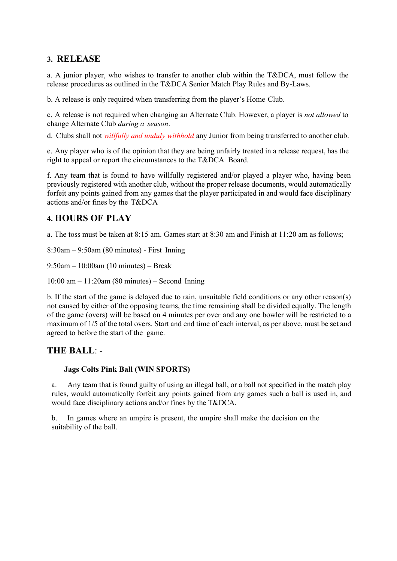### **3. RELEASE**

a. A junior player, who wishes to transfer to another club within the T&DCA, must follow the release procedures as outlined in the T&DCA Senior Match Play Rules and By-Laws.

b. A release is only required when transferring from the player's Home Club.

c. A release is not required when changing an Alternate Club. However, a player is *not allowed* to change Alternate Club *during a season*.

d. Clubs shall not *willfully and unduly withhold* any Junior from being transferred to another club.

e. Any player who is of the opinion that they are being unfairly treated in a release request, has the right to appeal or report the circumstances to the T&DCA Board.

f. Any team that is found to have willfully registered and/or played a player who, having been previously registered with another club, without the proper release documents, would automatically forfeit any points gained from any games that the player participated in and would face disciplinary actions and/or fines by the T&DCA

#### **4. HOURS OF PLAY**

a. The toss must be taken at 8:15 am. Games start at 8:30 am and Finish at 11:20 am as follows;

8:30am – 9:50am (80 minutes) - First Inning

9:50am – 10:00am (10 minutes) – Break

10:00 am – 11:20am (80 minutes) – Second Inning

b. If the start of the game is delayed due to rain, unsuitable field conditions or any other reason(s) not caused by either of the opposing teams, the time remaining shall be divided equally. The length of the game (overs) will be based on 4 minutes per over and any one bowler will be restricted to a maximum of 1/5 of the total overs. Start and end time of each interval, as per above, must be set and agreed to before the start of the game.

#### **THE BALL**: -

#### **Jags Colts Pink Ball (WIN SPORTS)**

a. Any team that is found guilty of using an illegal ball, or a ball not specified in the match play rules, would automatically forfeit any points gained from any games such a ball is used in, and would face disciplinary actions and/or fines by the T&DCA.

b. In games where an umpire is present, the umpire shall make the decision on the suitability of the ball.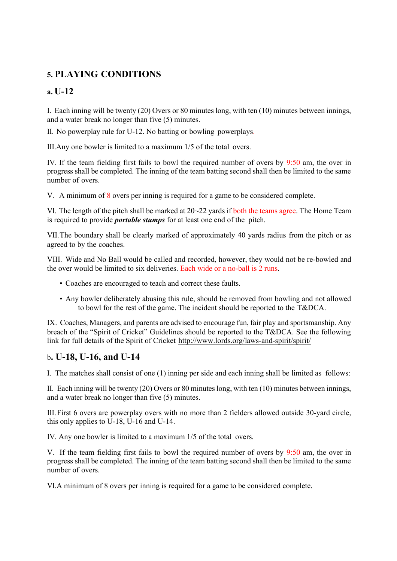## **5. PLAYING CONDITIONS**

### **a. U-12**

I. Each inning will be twenty (20) Overs or 80 minutes long, with ten (10) minutes between innings, and a water break no longer than five (5) minutes.

II. No powerplay rule for U-12. No batting or bowling powerplays.

III.Any one bowler is limited to a maximum 1/5 of the total overs.

IV. If the team fielding first fails to bowl the required number of overs by 9:50 am, the over in progress shall be completed. The inning of the team batting second shall then be limited to the same number of overs.

V. A minimum of 8 overs per inning is required for a game to be considered complete.

VI. The length of the pitch shall be marked at  $20-22$  yards if both the teams agree. The Home Team is required to provide *portable stumps* for at least one end of the pitch.

VII.The boundary shall be clearly marked of approximately 40 yards radius from the pitch or as agreed to by the coaches.

VIII. Wide and No Ball would be called and recorded, however, they would not be re-bowled and the over would be limited to six deliveries. Each wide or a no-ball is 2 runs.

- Coaches are encouraged to teach and correct these faults.
- Any bowler deliberately abusing this rule, should be removed from bowling and not allowed to bowl for the rest of the game. The incident should be reported to the T&DCA.

IX. Coaches, Managers, and parents are advised to encourage fun, fair play and sportsmanship. Any breach of the "Spirit of Cricket" Guidelines should be reported to the T&DCA. See the following link for full details of the Spirit of Cricket <http://www.lords.org/laws-and-spirit/spirit/>

#### b**. U-18, U-16, and U-14**

I. The matches shall consist of one (1) inning per side and each inning shall be limited as follows:

II. Each inning will be twenty (20) Overs or 80 minutes long, with ten (10) minutes between innings, and a water break no longer than five (5) minutes.

III.First 6 overs are powerplay overs with no more than 2 fielders allowed outside 30-yard circle, this only applies to U-18, U-16 and U-14.

IV. Any one bowler is limited to a maximum 1/5 of the total overs.

V. If the team fielding first fails to bowl the required number of overs by 9:50 am, the over in progress shall be completed. The inning of the team batting second shall then be limited to the same number of overs.

VI.A minimum of 8 overs per inning is required for a game to be considered complete.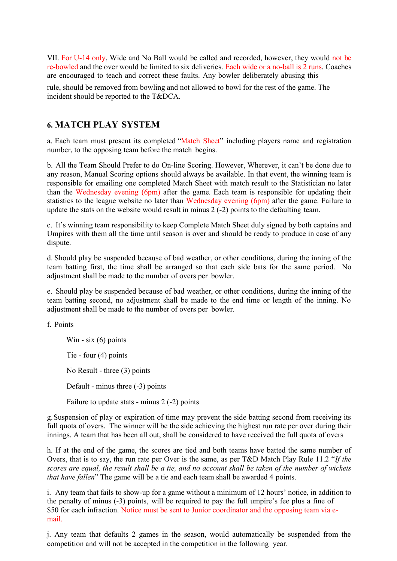VII. For U-14 only, Wide and No Ball would be called and recorded, however, they would not be re-bowled and the over would be limited to six deliveries. Each wide or a no-ball is 2 runs. Coaches are encouraged to teach and correct these faults. Any bowler deliberately abusing this

rule, should be removed from bowling and not allowed to bowl for the rest of the game. The incident should be reported to the T&DCA.

#### **6. MATCH PLAY SYSTEM**

a. Each team must present its completed "Match Sheet" including players name and registration number, to the opposing team before the match begins.

b. All the Team Should Prefer to do On-line Scoring. However, Wherever, it can't be done due to any reason, Manual Scoring options should always be available. In that event, the winning team is responsible for emailing one completed Match Sheet with match result to the Statistician no later than the Wednesday evening (6pm) after the game. Each team is responsible for updating their statistics to the league website no later than Wednesday evening (6pm) after the game. Failure to update the stats on the website would result in minus 2 (-2) points to the defaulting team.

c. It's winning team responsibility to keep Complete Match Sheet duly signed by both captains and Umpires with them all the time until season is over and should be ready to produce in case of any dispute.

d. Should play be suspended because of bad weather, or other conditions, during the inning of the team batting first, the time shall be arranged so that each side bats for the same period. No adjustment shall be made to the number of overs per bowler.

e. Should play be suspended because of bad weather, or other conditions, during the inning of the team batting second, no adjustment shall be made to the end time or length of the inning. No adjustment shall be made to the number of overs per bowler.

f. Points

Win - six  $(6)$  points Tie - four (4) points No Result - three (3) points Default - minus three (-3) points Failure to update stats - minus 2 (-2) points

g.Suspension of play or expiration of time may prevent the side batting second from receiving its full quota of overs. The winner will be the side achieving the highest run rate per over during their innings. A team that has been all out, shall be considered to have received the full quota of overs

h. If at the end of the game, the scores are tied and both teams have batted the same number of Overs, that is to say, the run rate per Over is the same, as per T&D Match Play Rule 11.2 "*If the scores are equal, the result shall be a tie, and no account shall be taken of the number of wickets that have fallen*" The game will be a tie and each team shall be awarded 4 points.

i. Any team that fails to show-up for a game without a minimum of 12 hours' notice, in addition to the penalty of minus (-3) points, will be required to pay the full umpire's fee plus a fine of \$50 for each infraction. Notice must be sent to Junior coordinator and the opposing team via email.

j. Any team that defaults 2 games in the season, would automatically be suspended from the competition and will not be accepted in the competition in the following year.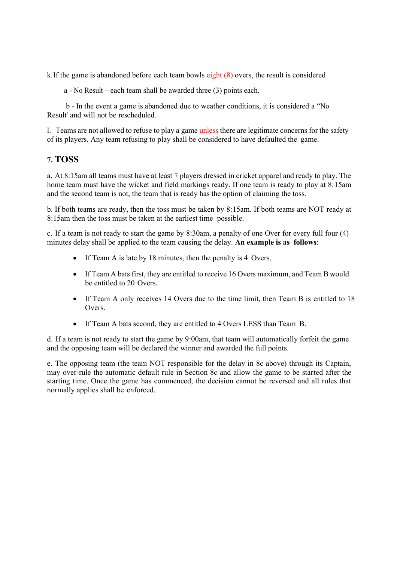k.If the game is abandoned before each team bowls eight (8) overs, the result is considered

a - No Result – each team shall be awarded three (3) points each.

 b - In the event a game is abandoned due to weather conditions, it is considered a "No Result" and will not be rescheduled.

l. Teams are not allowed to refuse to play a game unless there are legitimate concerns for the safety of its players. Any team refusing to play shall be considered to have defaulted the game.

#### **7. TOSS**

a. At 8:15am all teams must have at least 7 players dressed in cricket apparel and ready to play. The home team must have the wicket and field markings ready. If one team is ready to play at 8:15am and the second team is not, the team that is ready has the option of claiming the toss.

b. If both teams are ready, then the toss must be taken by 8:15am. If both teams are NOT ready at 8:15am then the toss must be taken at the earliest time possible.

c. If a team is not ready to start the game by 8:30am, a penalty of one Over for every full four (4) minutes delay shall be applied to the team causing the delay. **An example is as follows**:

- If Team A is late by 18 minutes, then the penalty is 4 Overs.
- If Team A bats first, they are entitled to receive 16 Overs maximum, and Team B would be entitled to 20 Overs.
- If Team A only receives 14 Overs due to the time limit, then Team B is entitled to 18 Overs.
- If Team A bats second, they are entitled to 4 Overs LESS than Team B.

d. If a team is not ready to start the game by 9:00am, that team will automatically forfeit the game and the opposing team will be declared the winner and awarded the full points.

e. The opposing team (the team NOT responsible for the delay in 8c above) through its Captain, may over-rule the automatic default rule in Section 8c and allow the game to be started after the starting time. Once the game has commenced, the decision cannot be reversed and all rules that normally applies shall be enforced.